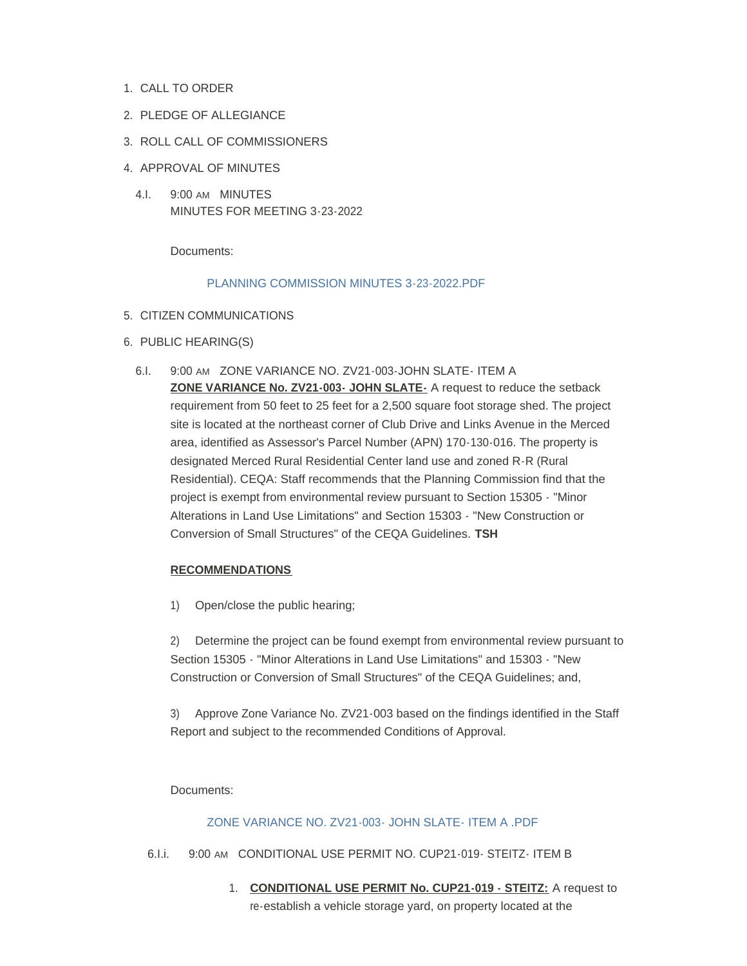- 1. CALL TO ORDER
- 2. PLEDGE OF ALLEGIANCE
- 3. ROLL CALL OF COMMISSIONERS
- 4. APPROVAL OF MINUTES
	- 4.I. 9:00 AM MINUTES MINUTES FOR MEETING 3-23-2022

Documents:

#### [PLANNING COMMISSION MINUTES 3-23-2022.PDF](https://www.countyofmerced.com/AgendaCenter/ViewFile/Item/1821?fileID=20670)

### 5. CITIZEN COMMUNICATIONS

- 6. PUBLIC HEARING(S)
	- 6.I. 9:00 AM ZONE VARIANCE NO. ZV21-003-JOHN SLATE-ITEM A **ZONE VARIANCE No. ZV21-003- JOHN SLATE-** A request to reduce the setback requirement from 50 feet to 25 feet for a 2,500 square foot storage shed. The project site is located at the northeast corner of Club Drive and Links Avenue in the Merced area, identified as Assessor's Parcel Number (APN) 170-130-016. The property is designated Merced Rural Residential Center land use and zoned R-R (Rural Residential). CEQA: Staff recommends that the Planning Commission find that the project is exempt from environmental review pursuant to Section 15305 - "Minor Alterations in Land Use Limitations" and Section 15303 - "New Construction or Conversion of Small Structures" of the CEQA Guidelines. **TSH**

#### **RECOMMENDATIONS**

1) Open/close the public hearing;

2) Determine the project can be found exempt from environmental review pursuant to Section 15305 - "Minor Alterations in Land Use Limitations" and 15303 - "New Construction or Conversion of Small Structures" of the CEQA Guidelines; and,

3) Approve Zone Variance No. ZV21-003 based on the findings identified in the Staff Report and subject to the recommended Conditions of Approval.

Documents:

## [ZONE VARIANCE NO. ZV21-003- JOHN SLATE- ITEM A .PDF](https://www.countyofmerced.com/AgendaCenter/ViewFile/Item/1834?fileID=20672)

- 6.I.i. 9:00 AM CONDITIONAL USE PERMIT NO. CUP21-019- STEITZ- ITEM B
	- 1. **CONDITIONAL USE PERMIT No. CUP21-019 STEITZ:** A request to re-establish a vehicle storage yard, on property located at the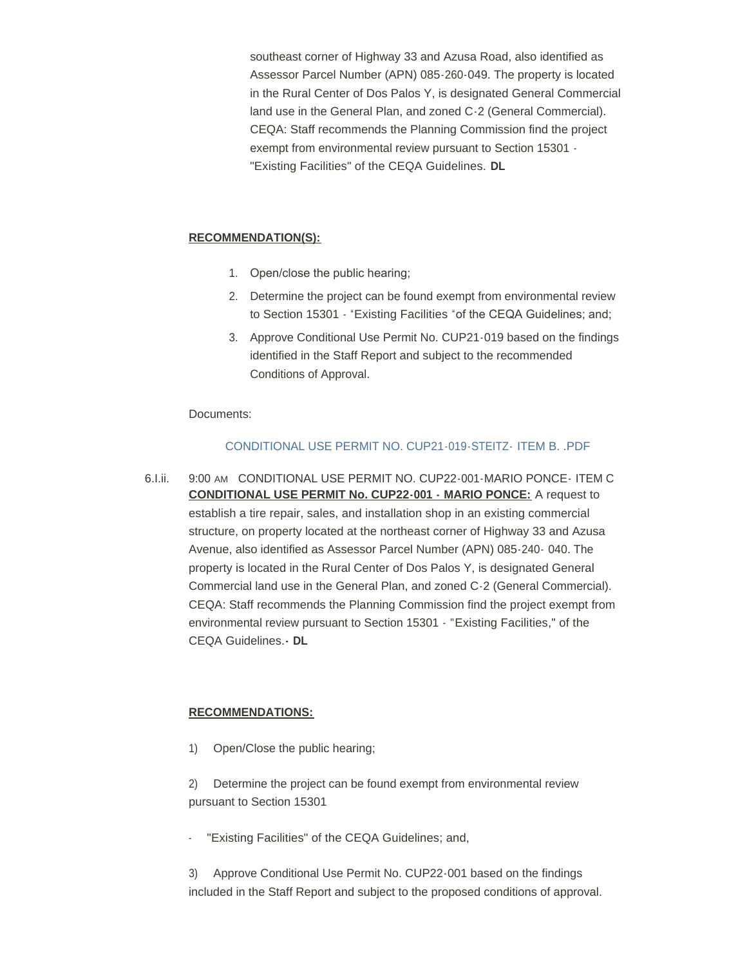southeast corner of Highway 33 and Azusa Road, also identified as Assessor Parcel Number (APN) 085-260-049. The property is located in the Rural Center of Dos Palos Y, is designated General Commercial land use in the General Plan, and zoned C-2 (General Commercial). CEQA: Staff recommends the Planning Commission find the project exempt from environmental review pursuant to Section 15301 - "Existing Facilities" of the CEQA Guidelines. **DL**

#### **RECOMMENDATION(S):**

- 1. Open/close the public hearing;
- 2. Determine the project can be found exempt from environmental review to Section 15301 - "Existing Facilities "of the CEQA Guidelines; and;
- 3. Approve Conditional Use Permit No. CUP21-019 based on the findings identified in the Staff Report and subject to the recommended Conditions of Approval.

Documents:

# [CONDITIONAL USE PERMIT NO. CUP21-019-STEITZ-](https://www.countyofmerced.com/AgendaCenter/ViewFile/Item/1819?fileID=20668) ITEM B. .PDF

6.I.ii. 9:00 AM CONDITIONAL USE PERMIT NO. CUP22-001-MARIO PONCE- ITEM C **CONDITIONAL USE PERMIT No. CUP22-001 - MARIO PONCE:** A request to establish a tire repair, sales, and installation shop in an existing commercial structure, on property located at the northeast corner of Highway 33 and Azusa Avenue, also identified as Assessor Parcel Number (APN) 085-240- 040. The property is located in the Rural Center of Dos Palos Y, is designated General Commercial land use in the General Plan, and zoned C-2 (General Commercial). CEQA: Staff recommends the Planning Commission find the project exempt from environmental review pursuant to Section 15301 - "Existing Facilities," of the CEQA Guidelines.**- DL**

## **RECOMMENDATIONS:**

1) Open/Close the public hearing;

2) Determine the project can be found exempt from environmental review pursuant to Section 15301

"Existing Facilities" of the CEQA Guidelines; and,

3) Approve Conditional Use Permit No. CUP22-001 based on the findings included in the Staff Report and subject to the proposed conditions of approval.